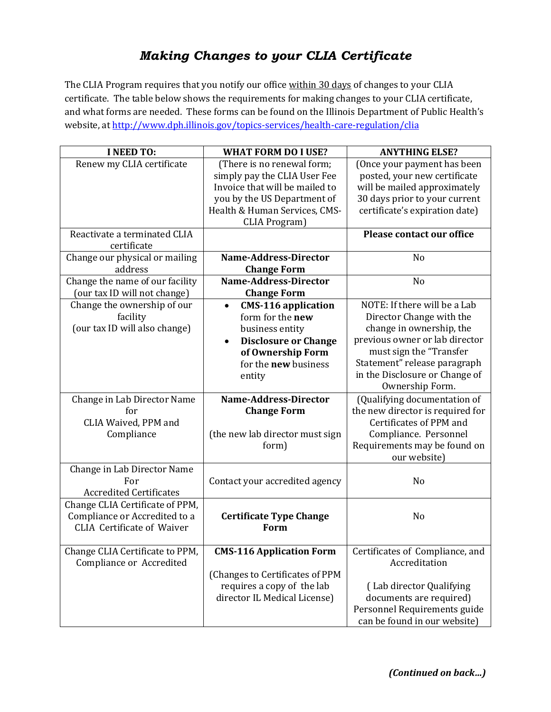## *Making Changes to your CLIA Certificate*

The CLIA Program requires that you notify our office within 30 days of changes to your CLIA certificate. The table below shows the requirements for making changes to your CLIA certificate, and what forms are needed. These forms can be found on the Illinois Department of Public Health's website, at<http://www.dph.illinois.gov/topics-services/health-care-regulation/clia>

| <b>I NEED TO:</b>                                                  | <b>WHAT FORM DO I USE?</b>              | <b>ANYTHING ELSE?</b>            |
|--------------------------------------------------------------------|-----------------------------------------|----------------------------------|
| Renew my CLIA certificate                                          | (There is no renewal form;              | (Once your payment has been      |
|                                                                    | simply pay the CLIA User Fee            | posted, your new certificate     |
|                                                                    | Invoice that will be mailed to          | will be mailed approximately     |
|                                                                    | you by the US Department of             | 30 days prior to your current    |
|                                                                    | Health & Human Services, CMS-           | certificate's expiration date)   |
|                                                                    | <b>CLIA Program</b> )                   |                                  |
| Reactivate a terminated CLIA<br>certificate                        |                                         | <b>Please contact our office</b> |
| Change our physical or mailing                                     | Name-Address-Director                   | N <sub>o</sub>                   |
| address                                                            | <b>Change Form</b>                      |                                  |
| Change the name of our facility                                    | <b>Name-Address-Director</b>            | No                               |
| (our tax ID will not change)                                       | <b>Change Form</b>                      |                                  |
| Change the ownership of our                                        | <b>CMS-116 application</b><br>$\bullet$ | NOTE: If there will be a Lab     |
| facility                                                           | form for the <b>new</b>                 | Director Change with the         |
| (our tax ID will also change)                                      | business entity                         | change in ownership, the         |
|                                                                    | <b>Disclosure or Change</b>             | previous owner or lab director   |
|                                                                    | of Ownership Form                       | must sign the "Transfer          |
|                                                                    | for the <b>new</b> business             | Statement" release paragraph     |
|                                                                    | entity                                  | in the Disclosure or Change of   |
|                                                                    |                                         | Ownership Form.                  |
| Change in Lab Director Name                                        | Name-Address-Director                   | (Qualifying documentation of     |
| for                                                                | <b>Change Form</b>                      | the new director is required for |
| CLIA Waived, PPM and                                               |                                         | Certificates of PPM and          |
| Compliance                                                         | (the new lab director must sign         | Compliance. Personnel            |
|                                                                    | form)                                   | Requirements may be found on     |
|                                                                    |                                         | our website)                     |
| Change in Lab Director Name                                        |                                         |                                  |
| For                                                                | Contact your accredited agency          | N <sub>o</sub>                   |
| <b>Accredited Certificates</b>                                     |                                         |                                  |
| Change CLIA Certificate of PPM,                                    |                                         | N <sub>o</sub>                   |
| Compliance or Accredited to a<br><b>CLIA Certificate of Waiver</b> | <b>Certificate Type Change</b><br>Form  |                                  |
|                                                                    |                                         |                                  |
| Change CLIA Certificate to PPM,                                    | <b>CMS-116 Application Form</b>         | Certificates of Compliance, and  |
| Compliance or Accredited                                           |                                         | Accreditation                    |
|                                                                    | (Changes to Certificates of PPM         |                                  |
|                                                                    | requires a copy of the lab              | (Lab director Qualifying         |
|                                                                    | director IL Medical License)            | documents are required)          |
|                                                                    |                                         | Personnel Requirements guide     |
|                                                                    |                                         | can be found in our website)     |